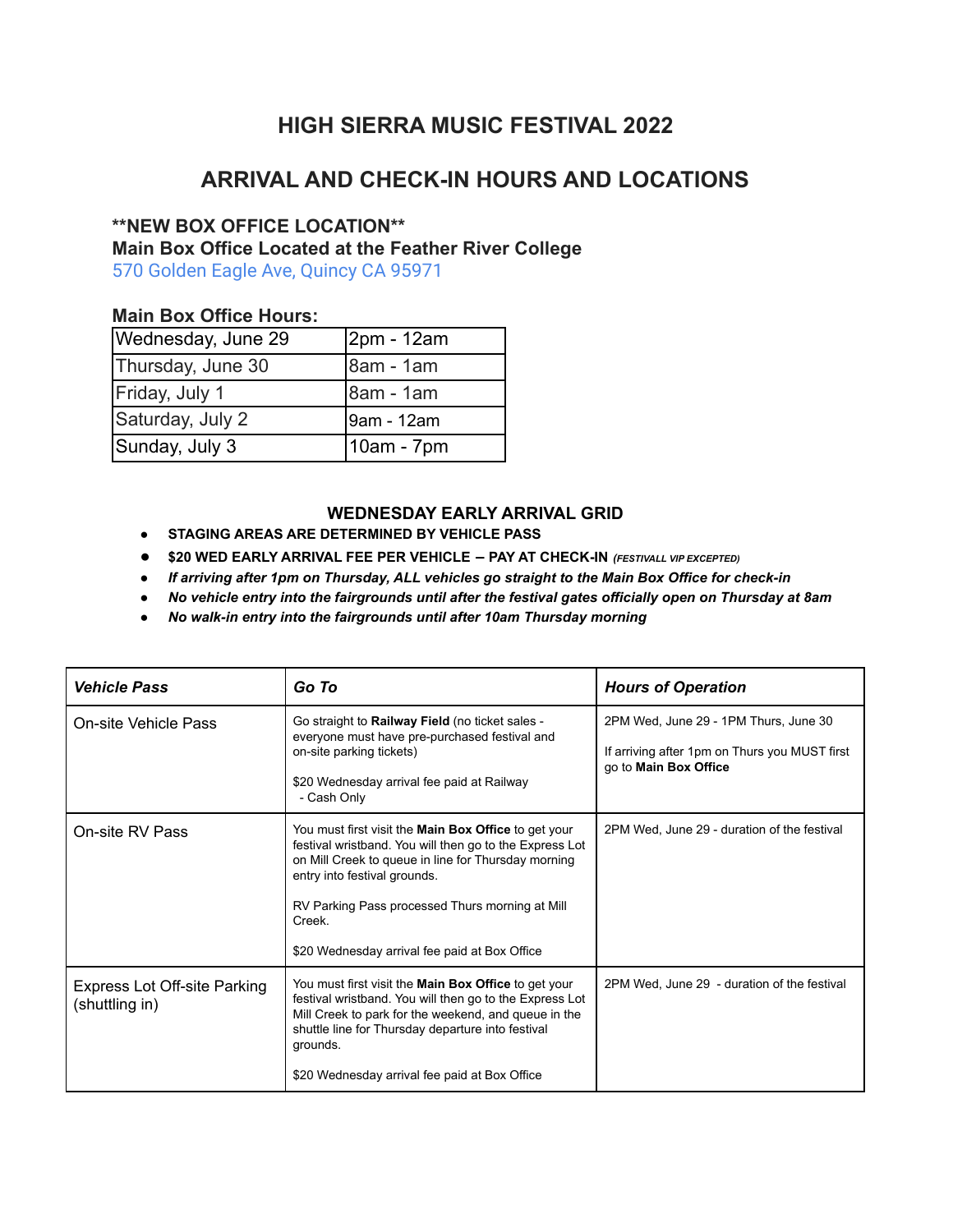# **HIGH SIERRA MUSIC FESTIVAL 2022**

## **ARRIVAL AND CHECK-IN HOURS AND LOCATIONS**

## **\*\*NEW BOX OFFICE LOCATION\*\***

**Main Box Office Located at the Feather River College**

[570 Golden Eagle Ave, Quincy CA 95971](https://www.google.com/maps/place/Feather+River+College/@39.9530679,-120.9752002,17z/data=!3m1!4b1!4m5!3m4!1s0x809cfeb7bc61952b:0x711529ce61b3ff65!8m2!3d39.9530679!4d-120.9730115)

### **Main Box Office Hours:**

| Wednesday, June 29 | 2pm - 12am |
|--------------------|------------|
| Thursday, June 30  | 8am - 1am  |
| Friday, July 1     | 8am - 1am  |
| Saturday, July 2   | 9am - 12am |
| Sunday, July 3     | 10am - 7pm |

#### **WEDNESDAY EARLY ARRIVAL GRID**

- **● STAGING AREAS ARE DETERMINED BY VEHICLE PASS**
- **● \$20 WED EARLY ARRIVAL FEE PER VEHICLE – PAY AT CHECK-IN** *(FESTIVALL VIP EXCEPTED)*
- *● If arriving after 1pm on Thursday, ALL vehicles go straight to the Main Box Office for check-in*
- *● No vehicle entry into the fairgrounds until after the festival gates officially open on Thursday at 8am*
- *● No walk-in entry into the fairgrounds until after 10am Thursday morning*

| <b>Vehicle Pass</b>                                   | Go To                                                                                                                                                                                                                                                                                                                       | <b>Hours of Operation</b>                                                                                       |
|-------------------------------------------------------|-----------------------------------------------------------------------------------------------------------------------------------------------------------------------------------------------------------------------------------------------------------------------------------------------------------------------------|-----------------------------------------------------------------------------------------------------------------|
| On-site Vehicle Pass                                  | Go straight to Railway Field (no ticket sales -<br>everyone must have pre-purchased festival and<br>on-site parking tickets)<br>\$20 Wednesday arrival fee paid at Railway<br>- Cash Only                                                                                                                                   | 2PM Wed, June 29 - 1PM Thurs, June 30<br>If arriving after 1pm on Thurs you MUST first<br>go to Main Box Office |
| On-site RV Pass                                       | You must first visit the <b>Main Box Office</b> to get your<br>festival wristband. You will then go to the Express Lot<br>on Mill Creek to queue in line for Thursday morning<br>entry into festival grounds.<br>RV Parking Pass processed Thurs morning at Mill<br>Creek.<br>\$20 Wednesday arrival fee paid at Box Office | 2PM Wed, June 29 - duration of the festival                                                                     |
| <b>Express Lot Off-site Parking</b><br>(shuttling in) | You must first visit the <b>Main Box Office</b> to get your<br>festival wristband. You will then go to the Express Lot<br>Mill Creek to park for the weekend, and queue in the<br>shuttle line for Thursday departure into festival<br>grounds.<br>\$20 Wednesday arrival fee paid at Box Office                            | 2PM Wed, June 29 - duration of the festival                                                                     |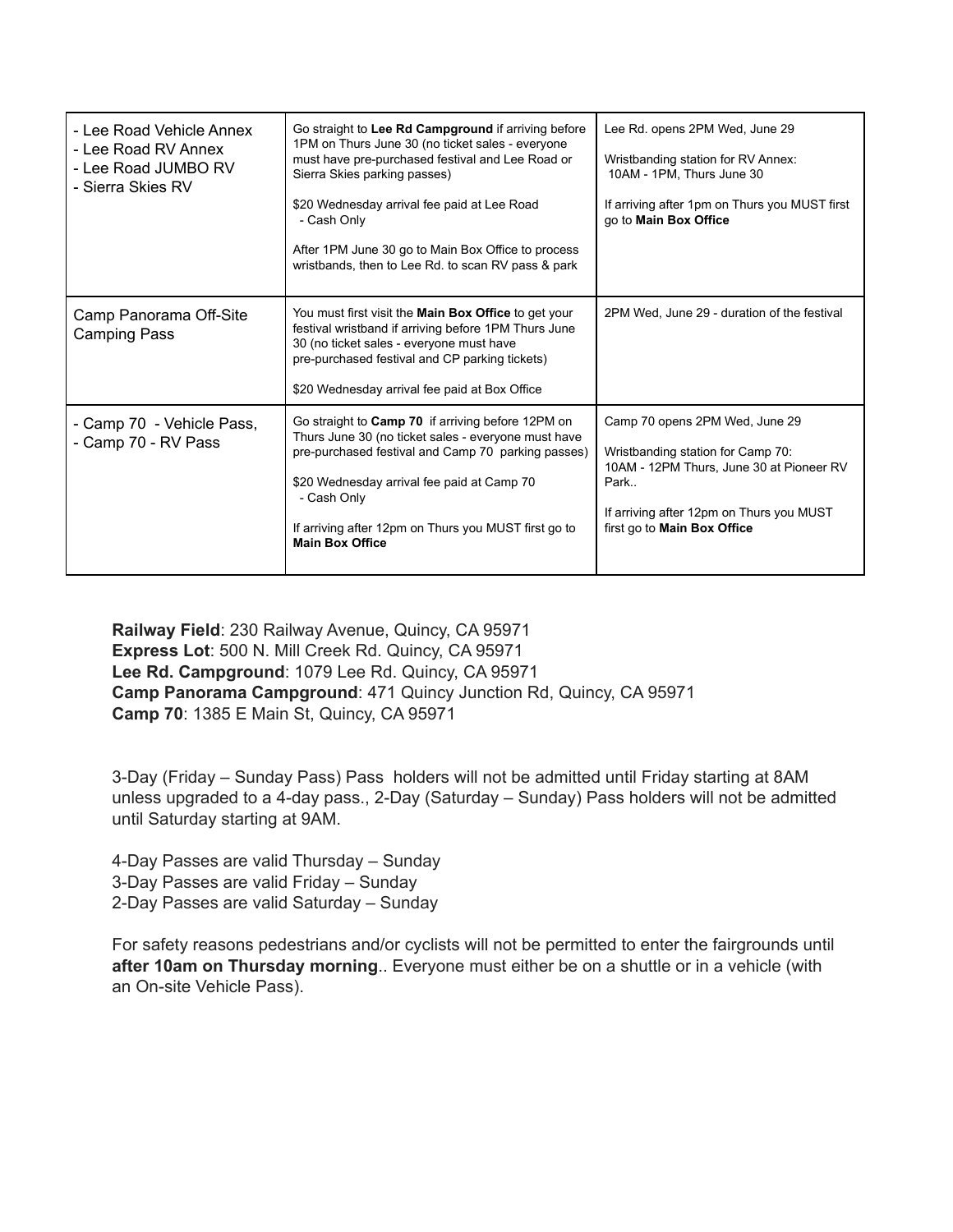| - Lee Road Vehicle Annex<br>- Lee Road RV Annex<br>- Lee Road JUMBO RV<br>- Sierra Skies RV | Go straight to Lee Rd Campground if arriving before<br>1PM on Thurs June 30 (no ticket sales - everyone<br>must have pre-purchased festival and Lee Road or<br>Sierra Skies parking passes)<br>\$20 Wednesday arrival fee paid at Lee Road<br>- Cash Only<br>After 1PM June 30 go to Main Box Office to process<br>wristbands, then to Lee Rd. to scan RV pass & park | Lee Rd. opens 2PM Wed, June 29<br>Wristbanding station for RV Annex:<br>10AM - 1PM, Thurs June 30<br>If arriving after 1pm on Thurs you MUST first<br>go to Main Box Office                        |
|---------------------------------------------------------------------------------------------|-----------------------------------------------------------------------------------------------------------------------------------------------------------------------------------------------------------------------------------------------------------------------------------------------------------------------------------------------------------------------|----------------------------------------------------------------------------------------------------------------------------------------------------------------------------------------------------|
| Camp Panorama Off-Site<br>Camping Pass                                                      | You must first visit the <b>Main Box Office</b> to get your<br>festival wristband if arriving before 1PM Thurs June<br>30 (no ticket sales - everyone must have<br>pre-purchased festival and CP parking tickets)<br>\$20 Wednesday arrival fee paid at Box Office                                                                                                    | 2PM Wed. June 29 - duration of the festival                                                                                                                                                        |
| - Camp 70 - Vehicle Pass,<br>- Camp 70 - RV Pass                                            | Go straight to <b>Camp 70</b> if arriving before 12PM on<br>Thurs June 30 (no ticket sales - everyone must have<br>pre-purchased festival and Camp 70 parking passes)<br>\$20 Wednesday arrival fee paid at Camp 70<br>- Cash Only<br>If arriving after 12pm on Thurs you MUST first go to<br><b>Main Box Office</b>                                                  | Camp 70 opens 2PM Wed, June 29<br>Wristbanding station for Camp 70:<br>10AM - 12PM Thurs, June 30 at Pioneer RV<br>Park<br>If arriving after 12pm on Thurs you MUST<br>first go to Main Box Office |

**Railway Field**: 230 Railway Avenue, Quincy, CA 95971 **Express Lot**: 500 N. Mill Creek Rd. Quincy, CA 95971 **Lee Rd. Campground**: 1079 Lee Rd. Quincy, CA 95971 **Camp Panorama Campground**: 471 Quincy Junction Rd, Quincy, CA 95971 **Camp 70**: 1385 E Main St, Quincy, CA 95971

3-Day (Friday – Sunday Pass) Pass holders will not be admitted until Friday starting at 8AM unless upgraded to a 4-day pass., 2-Day (Saturday – Sunday) Pass holders will not be admitted until Saturday starting at 9AM.

4-Day Passes are valid Thursday – Sunday 3-Day Passes are valid Friday – Sunday 2-Day Passes are valid Saturday – Sunday

For safety reasons pedestrians and/or cyclists will not be permitted to enter the fairgrounds until **after 10am on Thursday morning**.. Everyone must either be on a shuttle or in a vehicle (with an On-site Vehicle Pass).